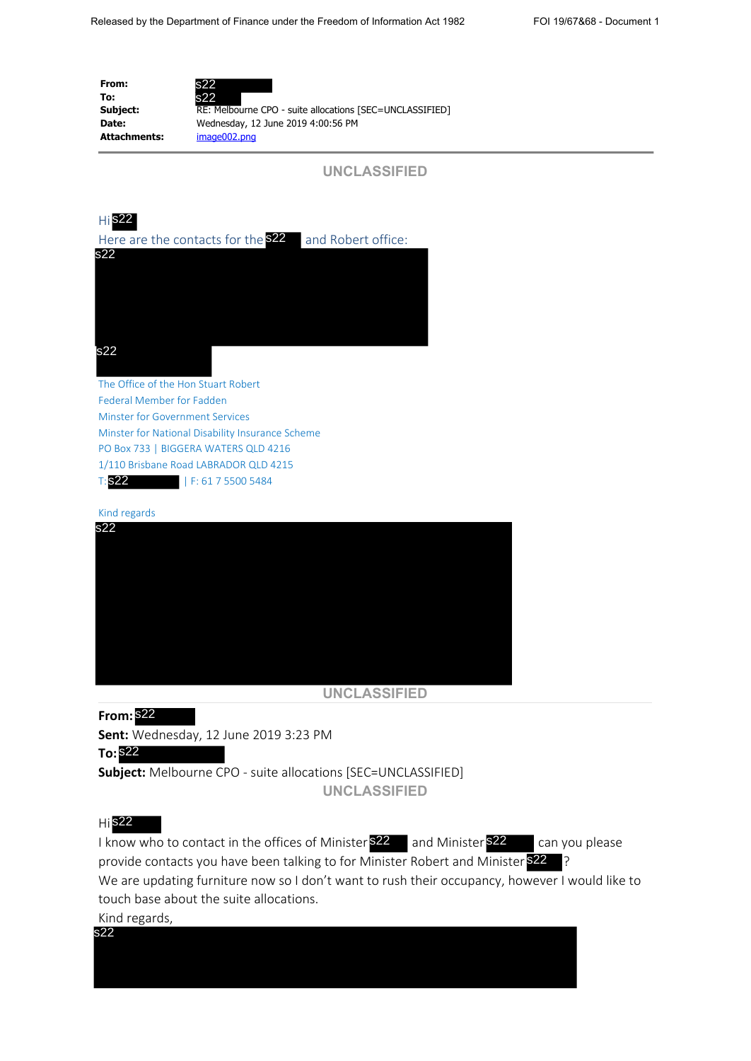**From: To: Attachments:** image002.png



**Subject:** RE: Melbourne CPO - suite allocations [SEC=UNCLASSIFIED] **Date:** Wednesday, 12 June 2019 4:00:56 PM



Here are the contacts for the  $\frac{522}{2}$  and Robert office:



Federal Member for Fadden Minster for Government Services Minster for National Disability Insurance Scheme PO Box 733 | BIGGERA WATERS QLD 4216 1/110 Brisbane Road LABRADOR QLD 4215 T: | F: 61 7 5500 5484 **Tis22** 

Kind regards



**UNCLASSIFIED**

**From:** s22 **Sent:** Wednesday, 12 June 2019 3:23 PM

**To:** s22 **Subject:** Melbourne CPO - suite allocations [SEC=UNCLASSIFIED]

**UNCLASSIFIED**

## Hi s22

I know who to contact in the offices of Minister **\$22** and Minister **\$22** can you please provide contacts you have been talking to for Minister Robert and Minister \$22 ? We are updating furniture now so I don't want to rush their occupancy, however I would like to touch base about the suite allocations.

Kind regards,

s22